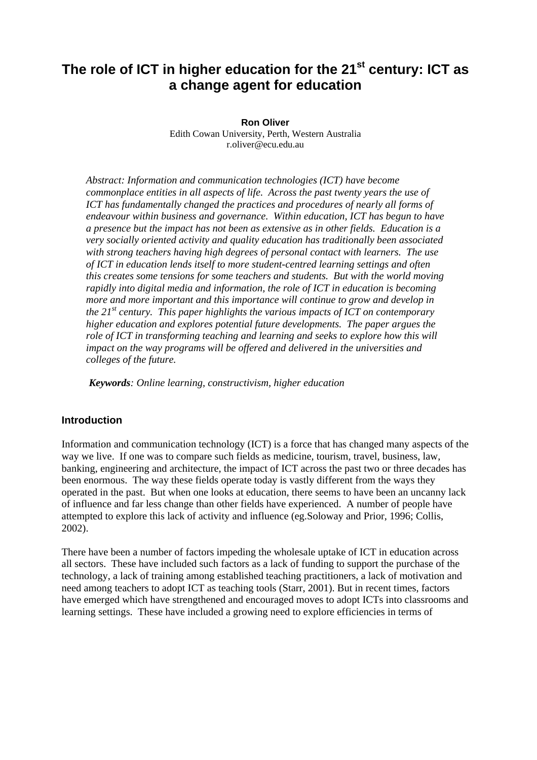# **The role of ICT in higher education for the 21st century: ICT as a change agent for education**

**Ron Oliver** Edith Cowan University, Perth, Western Australia r.oliver@ecu.edu.au

*Abstract: Information and communication technologies (ICT) have become commonplace entities in all aspects of life. Across the past twenty years the use of ICT has fundamentally changed the practices and procedures of nearly all forms of endeavour within business and governance. Within education, ICT has begun to have a presence but the impact has not been as extensive as in other fields. Education is a very socially oriented activity and quality education has traditionally been associated with strong teachers having high degrees of personal contact with learners. The use of ICT in education lends itself to more student-centred learning settings and often this creates some tensions for some teachers and students. But with the world moving rapidly into digital media and information, the role of ICT in education is becoming more and more important and this importance will continue to grow and develop in the 21st century. This paper highlights the various impacts of ICT on contemporary higher education and explores potential future developments. The paper argues the role of ICT in transforming teaching and learning and seeks to explore how this will impact on the way programs will be offered and delivered in the universities and colleges of the future.*

*Keywords: Online learning, constructivism, higher education*

# **Introduction**

Information and communication technology (ICT) is a force that has changed many aspects of the way we live. If one was to compare such fields as medicine, tourism, travel, business, law, banking, engineering and architecture, the impact of ICT across the past two or three decades has been enormous. The way these fields operate today is vastly different from the ways they operated in the past. But when one looks at education, there seems to have been an uncanny lack of influence and far less change than other fields have experienced. A number of people have attempted to explore this lack of activity and influence (eg.Soloway and Prior, 1996; Collis, 2002).

There have been a number of factors impeding the wholesale uptake of ICT in education across all sectors. These have included such factors as a lack of funding to support the purchase of the technology, a lack of training among established teaching practitioners, a lack of motivation and need among teachers to adopt ICT as teaching tools (Starr, 2001). But in recent times, factors have emerged which have strengthened and encouraged moves to adopt ICTs into classrooms and learning settings. These have included a growing need to explore efficiencies in terms of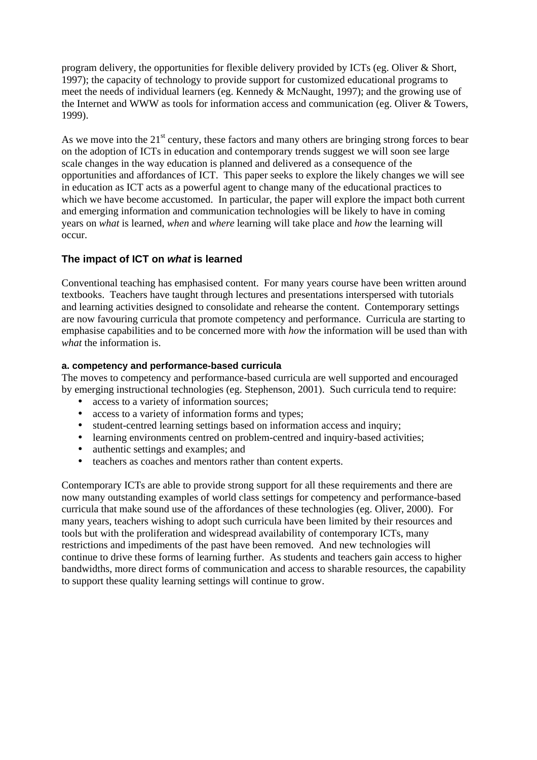program delivery, the opportunities for flexible delivery provided by ICTs (eg. Oliver & Short, 1997); the capacity of technology to provide support for customized educational programs to meet the needs of individual learners (eg. Kennedy & McNaught, 1997); and the growing use of the Internet and WWW as tools for information access and communication (eg. Oliver & Towers, 1999).

As we move into the  $21<sup>st</sup>$  century, these factors and many others are bringing strong forces to bear on the adoption of ICTs in education and contemporary trends suggest we will soon see large scale changes in the way education is planned and delivered as a consequence of the opportunities and affordances of ICT. This paper seeks to explore the likely changes we will see in education as ICT acts as a powerful agent to change many of the educational practices to which we have become accustomed. In particular, the paper will explore the impact both current and emerging information and communication technologies will be likely to have in coming years on *what* is learned, *when* and *where* learning will take place and *how* the learning will occur.

# **The impact of ICT on** *what* **is learned**

Conventional teaching has emphasised content. For many years course have been written around textbooks. Teachers have taught through lectures and presentations interspersed with tutorials and learning activities designed to consolidate and rehearse the content. Contemporary settings are now favouring curricula that promote competency and performance. Curricula are starting to emphasise capabilities and to be concerned more with *how* the information will be used than with *what* the information is.

#### **a. competency and performance-based curricula**

The moves to competency and performance-based curricula are well supported and encouraged by emerging instructional technologies (eg. Stephenson, 2001). Such curricula tend to require:

- access to a variety of information sources;
- access to a variety of information forms and types;
- student-centred learning settings based on information access and inquiry;
- learning environments centred on problem-centred and inquiry-based activities;
- authentic settings and examples; and
- teachers as coaches and mentors rather than content experts.

Contemporary ICTs are able to provide strong support for all these requirements and there are now many outstanding examples of world class settings for competency and performance-based curricula that make sound use of the affordances of these technologies (eg. Oliver, 2000). For many years, teachers wishing to adopt such curricula have been limited by their resources and tools but with the proliferation and widespread availability of contemporary ICTs, many restrictions and impediments of the past have been removed. And new technologies will continue to drive these forms of learning further. As students and teachers gain access to higher bandwidths, more direct forms of communication and access to sharable resources, the capability to support these quality learning settings will continue to grow.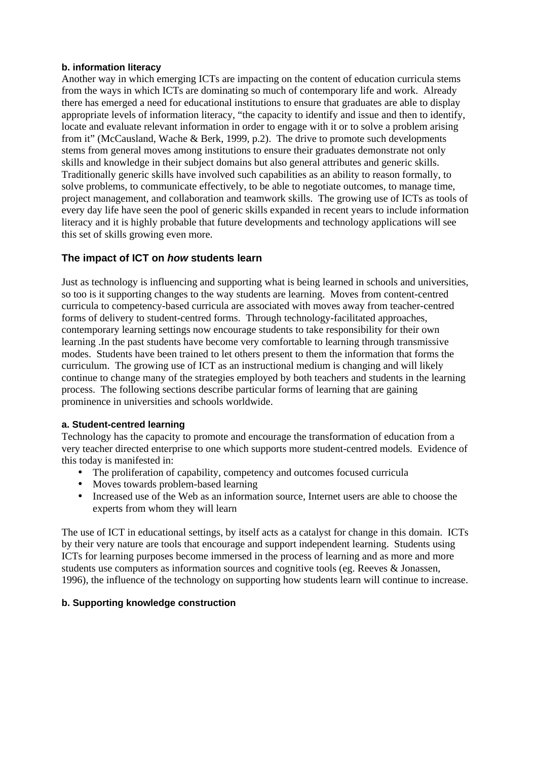#### **b. information literacy**

Another way in which emerging ICTs are impacting on the content of education curricula stems from the ways in which ICTs are dominating so much of contemporary life and work. Already there has emerged a need for educational institutions to ensure that graduates are able to display appropriate levels of information literacy, "the capacity to identify and issue and then to identify, locate and evaluate relevant information in order to engage with it or to solve a problem arising from it" (McCausland, Wache & Berk, 1999, p.2). The drive to promote such developments stems from general moves among institutions to ensure their graduates demonstrate not only skills and knowledge in their subject domains but also general attributes and generic skills. Traditionally generic skills have involved such capabilities as an ability to reason formally, to solve problems, to communicate effectively, to be able to negotiate outcomes, to manage time, project management, and collaboration and teamwork skills. The growing use of ICTs as tools of every day life have seen the pool of generic skills expanded in recent years to include information literacy and it is highly probable that future developments and technology applications will see this set of skills growing even more.

# **The impact of ICT on** *how* **students learn**

Just as technology is influencing and supporting what is being learned in schools and universities, so too is it supporting changes to the way students are learning. Moves from content-centred curricula to competency-based curricula are associated with moves away from teacher-centred forms of delivery to student-centred forms. Through technology-facilitated approaches, contemporary learning settings now encourage students to take responsibility for their own learning .In the past students have become very comfortable to learning through transmissive modes. Students have been trained to let others present to them the information that forms the curriculum. The growing use of ICT as an instructional medium is changing and will likely continue to change many of the strategies employed by both teachers and students in the learning process. The following sections describe particular forms of learning that are gaining prominence in universities and schools worldwide.

# **a. Student-centred learning**

Technology has the capacity to promote and encourage the transformation of education from a very teacher directed enterprise to one which supports more student-centred models. Evidence of this today is manifested in:

- The proliferation of capability, competency and outcomes focused curricula
- Moves towards problem-based learning
- Increased use of the Web as an information source, Internet users are able to choose the experts from whom they will learn

The use of ICT in educational settings, by itself acts as a catalyst for change in this domain. ICTs by their very nature are tools that encourage and support independent learning. Students using ICTs for learning purposes become immersed in the process of learning and as more and more students use computers as information sources and cognitive tools (eg. Reeves & Jonassen, 1996), the influence of the technology on supporting how students learn will continue to increase.

#### **b. Supporting knowledge construction**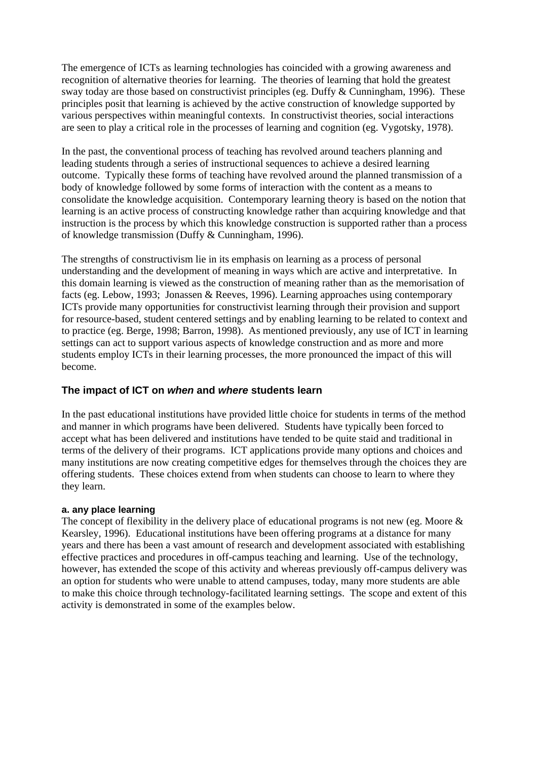The emergence of ICTs as learning technologies has coincided with a growing awareness and recognition of alternative theories for learning. The theories of learning that hold the greatest sway today are those based on constructivist principles (eg. Duffy & Cunningham, 1996). These principles posit that learning is achieved by the active construction of knowledge supported by various perspectives within meaningful contexts. In constructivist theories, social interactions are seen to play a critical role in the processes of learning and cognition (eg. Vygotsky, 1978).

In the past, the conventional process of teaching has revolved around teachers planning and leading students through a series of instructional sequences to achieve a desired learning outcome. Typically these forms of teaching have revolved around the planned transmission of a body of knowledge followed by some forms of interaction with the content as a means to consolidate the knowledge acquisition. Contemporary learning theory is based on the notion that learning is an active process of constructing knowledge rather than acquiring knowledge and that instruction is the process by which this knowledge construction is supported rather than a process of knowledge transmission (Duffy & Cunningham, 1996).

The strengths of constructivism lie in its emphasis on learning as a process of personal understanding and the development of meaning in ways which are active and interpretative. In this domain learning is viewed as the construction of meaning rather than as the memorisation of facts (eg. Lebow, 1993; Jonassen & Reeves, 1996). Learning approaches using contemporary ICTs provide many opportunities for constructivist learning through their provision and support for resource-based, student centered settings and by enabling learning to be related to context and to practice (eg. Berge, 1998; Barron, 1998). As mentioned previously, any use of ICT in learning settings can act to support various aspects of knowledge construction and as more and more students employ ICTs in their learning processes, the more pronounced the impact of this will become.

# **The impact of ICT on** *when* **and** *where* **students learn**

In the past educational institutions have provided little choice for students in terms of the method and manner in which programs have been delivered. Students have typically been forced to accept what has been delivered and institutions have tended to be quite staid and traditional in terms of the delivery of their programs. ICT applications provide many options and choices and many institutions are now creating competitive edges for themselves through the choices they are offering students. These choices extend from when students can choose to learn to where they they learn.

# **a. any place learning**

The concept of flexibility in the delivery place of educational programs is not new (eg. Moore  $\&$ Kearsley, 1996). Educational institutions have been offering programs at a distance for many years and there has been a vast amount of research and development associated with establishing effective practices and procedures in off-campus teaching and learning. Use of the technology, however, has extended the scope of this activity and whereas previously off-campus delivery was an option for students who were unable to attend campuses, today, many more students are able to make this choice through technology-facilitated learning settings. The scope and extent of this activity is demonstrated in some of the examples below.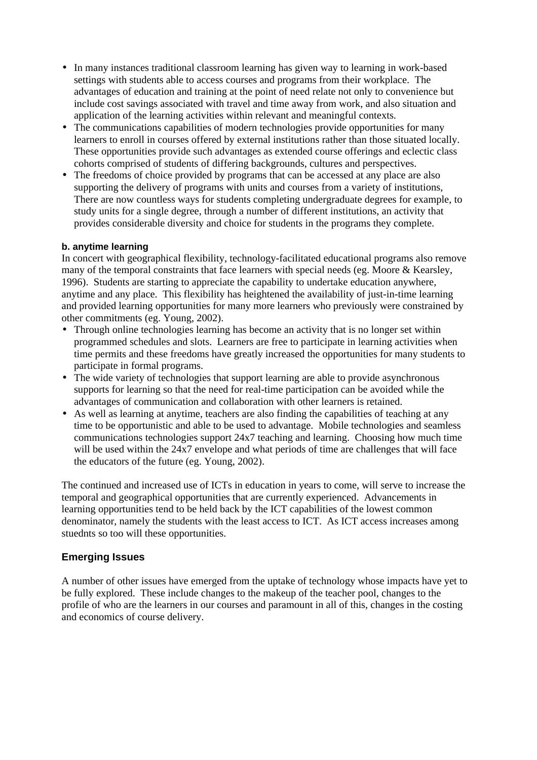- In many instances traditional classroom learning has given way to learning in work-based settings with students able to access courses and programs from their workplace. The advantages of education and training at the point of need relate not only to convenience but include cost savings associated with travel and time away from work, and also situation and application of the learning activities within relevant and meaningful contexts.
- The communications capabilities of modern technologies provide opportunities for many learners to enroll in courses offered by external institutions rather than those situated locally. These opportunities provide such advantages as extended course offerings and eclectic class cohorts comprised of students of differing backgrounds, cultures and perspectives.
- The freedoms of choice provided by programs that can be accessed at any place are also supporting the delivery of programs with units and courses from a variety of institutions, There are now countless ways for students completing undergraduate degrees for example, to study units for a single degree, through a number of different institutions, an activity that provides considerable diversity and choice for students in the programs they complete.

# **b. anytime learning**

In concert with geographical flexibility, technology-facilitated educational programs also remove many of the temporal constraints that face learners with special needs (eg. Moore & Kearsley, 1996). Students are starting to appreciate the capability to undertake education anywhere, anytime and any place. This flexibility has heightened the availability of just-in-time learning and provided learning opportunities for many more learners who previously were constrained by other commitments (eg. Young, 2002).

- Through online technologies learning has become an activity that is no longer set within programmed schedules and slots. Learners are free to participate in learning activities when time permits and these freedoms have greatly increased the opportunities for many students to participate in formal programs.
- The wide variety of technologies that support learning are able to provide asynchronous supports for learning so that the need for real-time participation can be avoided while the advantages of communication and collaboration with other learners is retained.
- As well as learning at anytime, teachers are also finding the capabilities of teaching at any time to be opportunistic and able to be used to advantage. Mobile technologies and seamless communications technologies support 24x7 teaching and learning. Choosing how much time will be used within the 24x7 envelope and what periods of time are challenges that will face the educators of the future (eg. Young, 2002).

The continued and increased use of ICTs in education in years to come, will serve to increase the temporal and geographical opportunities that are currently experienced. Advancements in learning opportunities tend to be held back by the ICT capabilities of the lowest common denominator, namely the students with the least access to ICT. As ICT access increases among stuednts so too will these opportunities.

# **Emerging Issues**

A number of other issues have emerged from the uptake of technology whose impacts have yet to be fully explored. These include changes to the makeup of the teacher pool, changes to the profile of who are the learners in our courses and paramount in all of this, changes in the costing and economics of course delivery.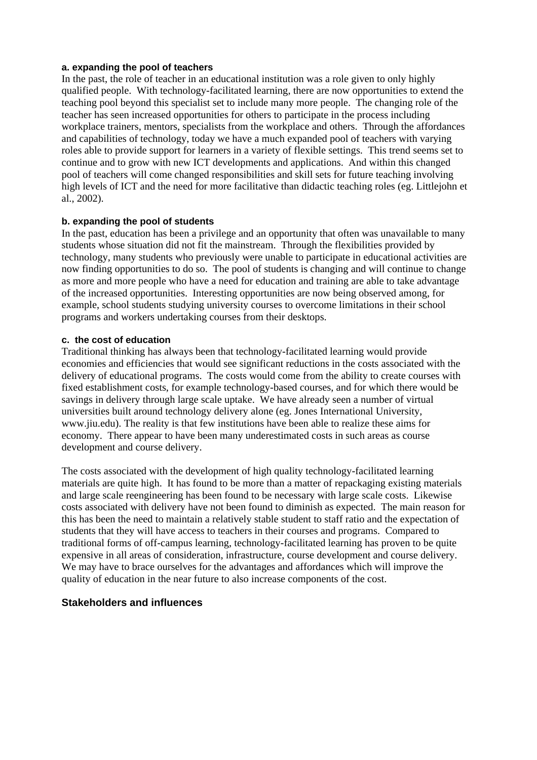#### **a. expanding the pool of teachers**

In the past, the role of teacher in an educational institution was a role given to only highly qualified people. With technology-facilitated learning, there are now opportunities to extend the teaching pool beyond this specialist set to include many more people. The changing role of the teacher has seen increased opportunities for others to participate in the process including workplace trainers, mentors, specialists from the workplace and others. Through the affordances and capabilities of technology, today we have a much expanded pool of teachers with varying roles able to provide support for learners in a variety of flexible settings. This trend seems set to continue and to grow with new ICT developments and applications. And within this changed pool of teachers will come changed responsibilities and skill sets for future teaching involving high levels of ICT and the need for more facilitative than didactic teaching roles (eg. Littlejohn et al., 2002).

#### **b. expanding the pool of students**

In the past, education has been a privilege and an opportunity that often was unavailable to many students whose situation did not fit the mainstream. Through the flexibilities provided by technology, many students who previously were unable to participate in educational activities are now finding opportunities to do so. The pool of students is changing and will continue to change as more and more people who have a need for education and training are able to take advantage of the increased opportunities. Interesting opportunities are now being observed among, for example, school students studying university courses to overcome limitations in their school programs and workers undertaking courses from their desktops.

#### **c. the cost of education**

Traditional thinking has always been that technology-facilitated learning would provide economies and efficiencies that would see significant reductions in the costs associated with the delivery of educational programs. The costs would come from the ability to create courses with fixed establishment costs, for example technology-based courses, and for which there would be savings in delivery through large scale uptake. We have already seen a number of virtual universities built around technology delivery alone (eg. Jones International University, www.jiu.edu). The reality is that few institutions have been able to realize these aims for economy. There appear to have been many underestimated costs in such areas as course development and course delivery.

The costs associated with the development of high quality technology-facilitated learning materials are quite high. It has found to be more than a matter of repackaging existing materials and large scale reengineering has been found to be necessary with large scale costs. Likewise costs associated with delivery have not been found to diminish as expected. The main reason for this has been the need to maintain a relatively stable student to staff ratio and the expectation of students that they will have access to teachers in their courses and programs. Compared to traditional forms of off-campus learning, technology-facilitated learning has proven to be quite expensive in all areas of consideration, infrastructure, course development and course delivery. We may have to brace ourselves for the advantages and affordances which will improve the quality of education in the near future to also increase components of the cost.

#### **Stakeholders and influences**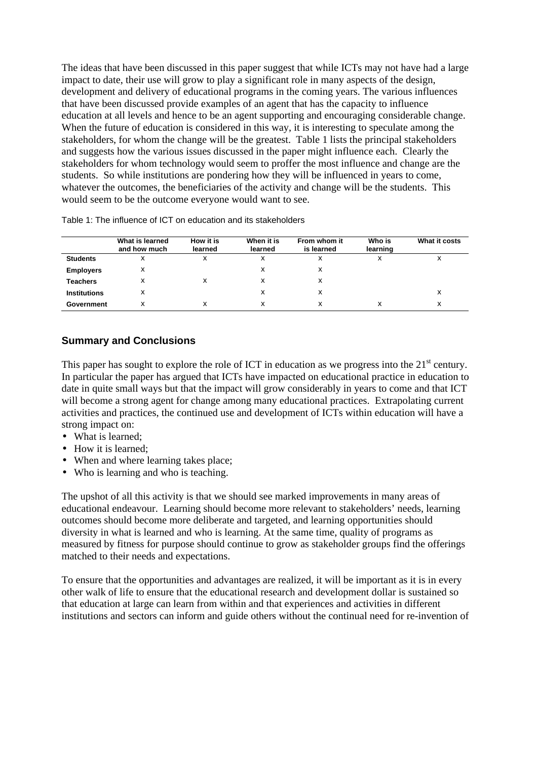The ideas that have been discussed in this paper suggest that while ICTs may not have had a large impact to date, their use will grow to play a significant role in many aspects of the design, development and delivery of educational programs in the coming years. The various influences that have been discussed provide examples of an agent that has the capacity to influence education at all levels and hence to be an agent supporting and encouraging considerable change. When the future of education is considered in this way, it is interesting to speculate among the stakeholders, for whom the change will be the greatest. Table 1 lists the principal stakeholders and suggests how the various issues discussed in the paper might influence each. Clearly the stakeholders for whom technology would seem to proffer the most influence and change are the students. So while institutions are pondering how they will be influenced in years to come, whatever the outcomes, the beneficiaries of the activity and change will be the students. This would seem to be the outcome everyone would want to see.

|                     | What is learned<br>and how much | How it is<br>learned | When it is<br>learned | From whom it<br>is learned | Who is<br>learning | What it costs |
|---------------------|---------------------------------|----------------------|-----------------------|----------------------------|--------------------|---------------|
| <b>Students</b>     | х                               | x                    | х                     | х                          | x                  | х             |
| <b>Employers</b>    | х                               |                      | x                     | х                          |                    |               |
| Teachers            | х                               | х                    |                       | х                          |                    |               |
| <b>Institutions</b> | х                               |                      | x                     | х                          |                    | х             |
| Government          | х                               | x                    |                       | x                          | X                  | х             |

Table 1: The influence of ICT on education and its stakeholders

# **Summary and Conclusions**

This paper has sought to explore the role of ICT in education as we progress into the  $21<sup>st</sup>$  century. In particular the paper has argued that ICTs have impacted on educational practice in education to date in quite small ways but that the impact will grow considerably in years to come and that ICT will become a strong agent for change among many educational practices. Extrapolating current activities and practices, the continued use and development of ICTs within education will have a strong impact on:

- What is learned:
- How it is learned:
- When and where learning takes place:
- Who is learning and who is teaching.

The upshot of all this activity is that we should see marked improvements in many areas of educational endeavour. Learning should become more relevant to stakeholders' needs, learning outcomes should become more deliberate and targeted, and learning opportunities should diversity in what is learned and who is learning. At the same time, quality of programs as measured by fitness for purpose should continue to grow as stakeholder groups find the offerings matched to their needs and expectations.

To ensure that the opportunities and advantages are realized, it will be important as it is in every other walk of life to ensure that the educational research and development dollar is sustained so that education at large can learn from within and that experiences and activities in different institutions and sectors can inform and guide others without the continual need for re-invention of